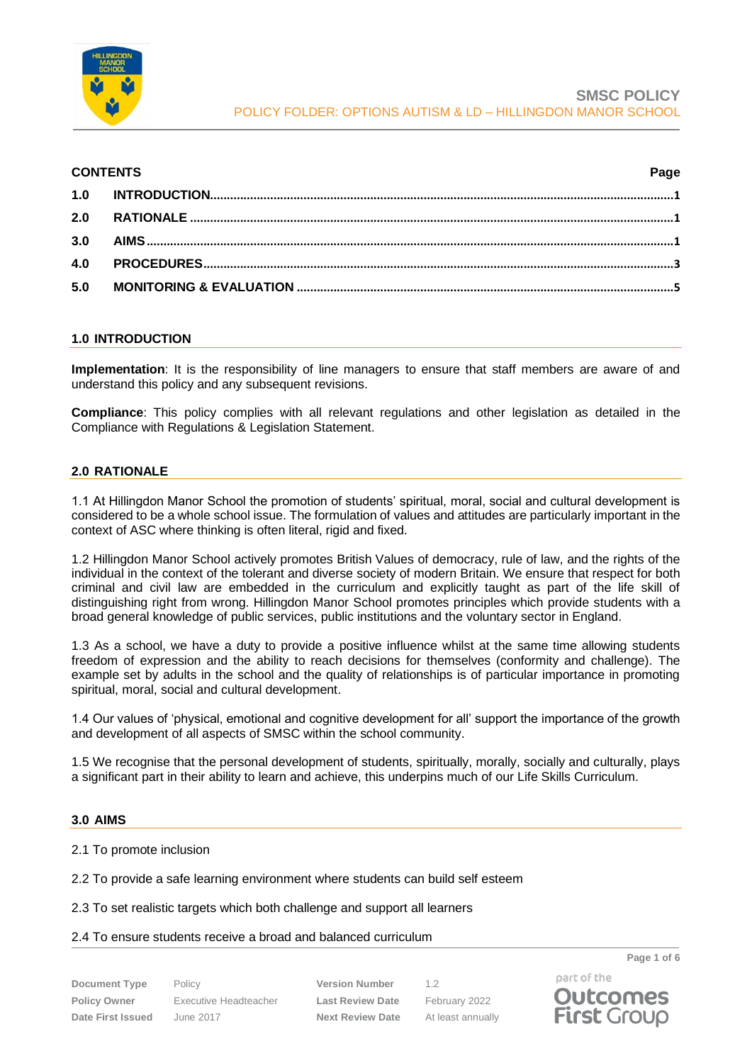

| <b>CONTENTS</b> |  | Page |
|-----------------|--|------|
|                 |  |      |
|                 |  |      |
|                 |  |      |
|                 |  |      |
|                 |  |      |
|                 |  |      |

## <span id="page-0-0"></span>**1.0 INTRODUCTION**

**Implementation**: It is the responsibility of line managers to ensure that staff members are aware of and understand this policy and any subsequent revisions.

**Compliance**: This policy complies with all relevant regulations and other legislation as detailed in the Compliance with Regulations & Legislation Statement.

## <span id="page-0-1"></span>**2.0 RATIONALE**

1.1 At Hillingdon Manor School the promotion of students' spiritual, moral, social and cultural development is considered to be a whole school issue. The formulation of values and attitudes are particularly important in the context of ASC where thinking is often literal, rigid and fixed.

1.2 Hillingdon Manor School actively promotes British Values of democracy, rule of law, and the rights of the individual in the context of the tolerant and diverse society of modern Britain. We ensure that respect for both criminal and civil law are embedded in the curriculum and explicitly taught as part of the life skill of distinguishing right from wrong. Hillingdon Manor School promotes principles which provide students with a broad general knowledge of public services, public institutions and the voluntary sector in England.

1.3 As a school, we have a duty to provide a positive influence whilst at the same time allowing students freedom of expression and the ability to reach decisions for themselves (conformity and challenge). The example set by adults in the school and the quality of relationships is of particular importance in promoting spiritual, moral, social and cultural development.

1.4 Our values of 'physical, emotional and cognitive development for all' support the importance of the growth and development of all aspects of SMSC within the school community.

1.5 We recognise that the personal development of students, spiritually, morally, socially and culturally, plays a significant part in their ability to learn and achieve, this underpins much of our Life Skills Curriculum.

#### <span id="page-0-2"></span>**3.0 AIMS**

- 2.1 To promote inclusion
- 2.2 To provide a safe learning environment where students can build self esteem

2.3 To set realistic targets which both challenge and support all learners

#### 2.4 To ensure students receive a broad and balanced curriculum

| <b>Document Type</b>     |  |  |  |  |
|--------------------------|--|--|--|--|
| <b>Policy Owner</b>      |  |  |  |  |
| <b>Date First Issued</b> |  |  |  |  |

part of the **Outcomes First Group** 

**Page 1 of 6**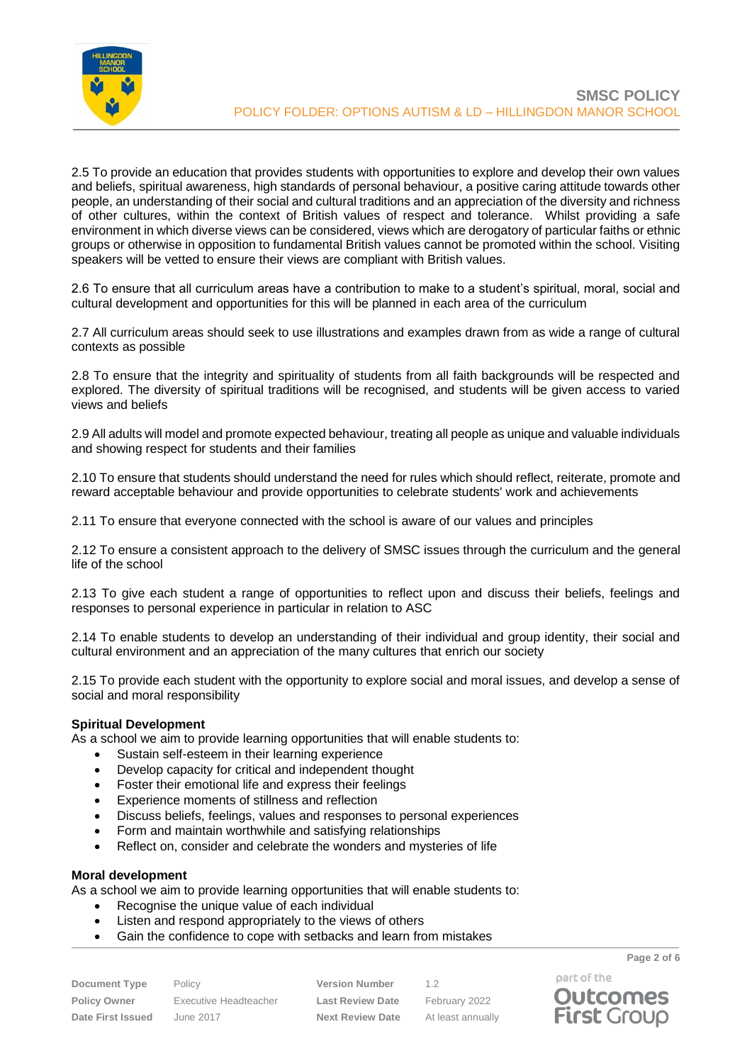

2.5 To provide an education that provides students with opportunities to explore and develop their own values and beliefs, spiritual awareness, high standards of personal behaviour, a positive caring attitude towards other people, an understanding of their social and cultural traditions and an appreciation of the diversity and richness of other cultures, within the context of British values of respect and tolerance. Whilst providing a safe environment in which diverse views can be considered, views which are derogatory of particular faiths or ethnic groups or otherwise in opposition to fundamental British values cannot be promoted within the school. Visiting speakers will be vetted to ensure their views are compliant with British values.

2.6 To ensure that all curriculum areas have a contribution to make to a student's spiritual, moral, social and cultural development and opportunities for this will be planned in each area of the curriculum

2.7 All curriculum areas should seek to use illustrations and examples drawn from as wide a range of cultural contexts as possible

2.8 To ensure that the integrity and spirituality of students from all faith backgrounds will be respected and explored. The diversity of spiritual traditions will be recognised, and students will be given access to varied views and beliefs

2.9 All adults will model and promote expected behaviour, treating all people as unique and valuable individuals and showing respect for students and their families

2.10 To ensure that students should understand the need for rules which should reflect, reiterate, promote and reward acceptable behaviour and provide opportunities to celebrate students' work and achievements

2.11 To ensure that everyone connected with the school is aware of our values and principles

2.12 To ensure a consistent approach to the delivery of SMSC issues through the curriculum and the general life of the school

2.13 To give each student a range of opportunities to reflect upon and discuss their beliefs, feelings and responses to personal experience in particular in relation to ASC

2.14 To enable students to develop an understanding of their individual and group identity, their social and cultural environment and an appreciation of the many cultures that enrich our society

2.15 To provide each student with the opportunity to explore social and moral issues, and develop a sense of social and moral responsibility

## **Spiritual Development**

As a school we aim to provide learning opportunities that will enable students to:

- Sustain self-esteem in their learning experience
- Develop capacity for critical and independent thought
- Foster their emotional life and express their feelings
- Experience moments of stillness and reflection
- Discuss beliefs, feelings, values and responses to personal experiences
- Form and maintain worthwhile and satisfying relationships
- Reflect on, consider and celebrate the wonders and mysteries of life

#### **Moral development**

As a school we aim to provide learning opportunities that will enable students to:

- Recognise the unique value of each individual
- Listen and respond appropriately to the views of others
- Gain the confidence to cope with setbacks and learn from mistakes

**Document Type** Policy **Version Number** 1.2

**Policy Owner** Executive Headteacher **Last Review Date** February 2022 **Date First Issued** June 2017 **Next Review Date** At least annually

**Page 2 of 6** part of the

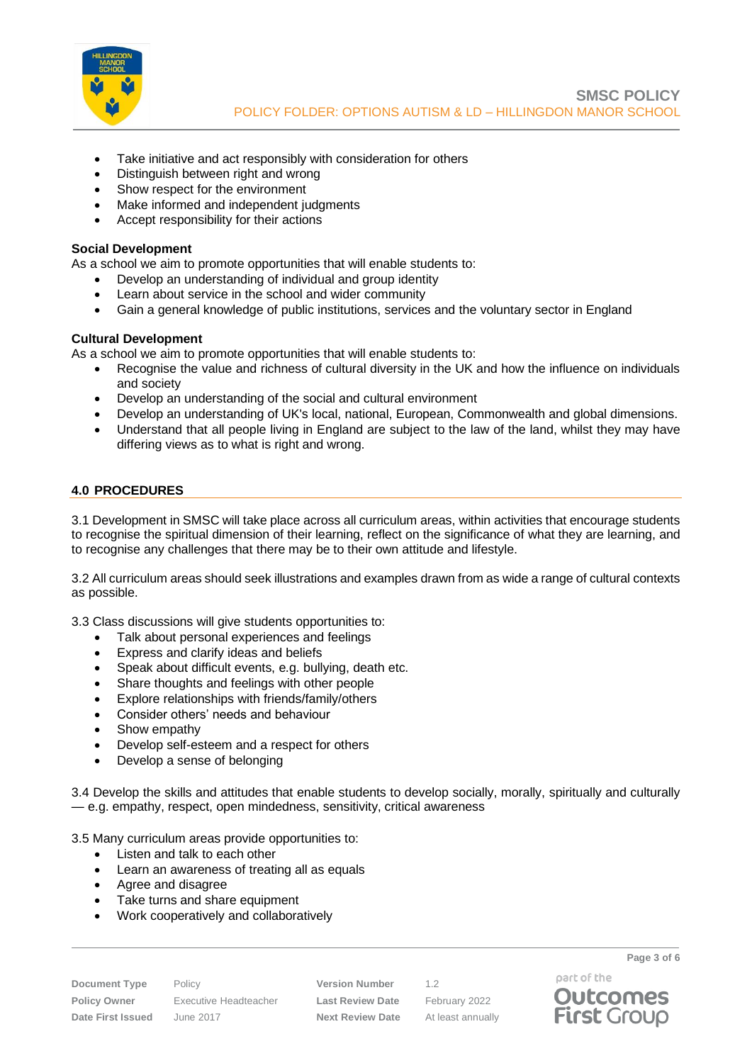

- Take initiative and act responsibly with consideration for others
- Distinguish between right and wrong
- Show respect for the environment
- Make informed and independent judgments
- Accept responsibility for their actions

#### **Social Development**

As a school we aim to promote opportunities that will enable students to:

- Develop an understanding of individual and group identity
- Learn about service in the school and wider community
- Gain a general knowledge of public institutions, services and the voluntary sector in England

#### **Cultural Development**

As a school we aim to promote opportunities that will enable students to:

- Recognise the value and richness of cultural diversity in the UK and how the influence on individuals and society
- Develop an understanding of the social and cultural environment
- Develop an understanding of UK's local, national, European, Commonwealth and global dimensions.
- Understand that all people living in England are subject to the law of the land, whilst they may have differing views as to what is right and wrong.

## <span id="page-2-0"></span>**4.0 PROCEDURES**

3.1 Development in SMSC will take place across all curriculum areas, within activities that encourage students to recognise the spiritual dimension of their learning, reflect on the significance of what they are learning, and to recognise any challenges that there may be to their own attitude and lifestyle.

3.2 All curriculum areas should seek illustrations and examples drawn from as wide a range of cultural contexts as possible.

3.3 Class discussions will give students opportunities to:

- Talk about personal experiences and feelings
- Express and clarify ideas and beliefs
- Speak about difficult events, e.g. bullying, death etc.
- Share thoughts and feelings with other people
- Explore relationships with friends/family/others
- Consider others' needs and behaviour
- Show empathy
- Develop self-esteem and a respect for others
- Develop a sense of belonging

3.4 Develop the skills and attitudes that enable students to develop socially, morally, spiritually and culturally — e.g. empathy, respect, open mindedness, sensitivity, critical awareness

3.5 Many curriculum areas provide opportunities to:

- Listen and talk to each other
- Learn an awareness of treating all as equals
- Agree and disagree
- Take turns and share equipment
- Work cooperatively and collaboratively

**Document Type** Policy **Version Number** 1.2 **Policy Owner** Executive Headteacher **Last Review Date** February 2022 **Date First Issued** June 2017 **Next Review Date** At least annually

part of the **Outcomes** 

**First Group** 

**Page 3 of 6**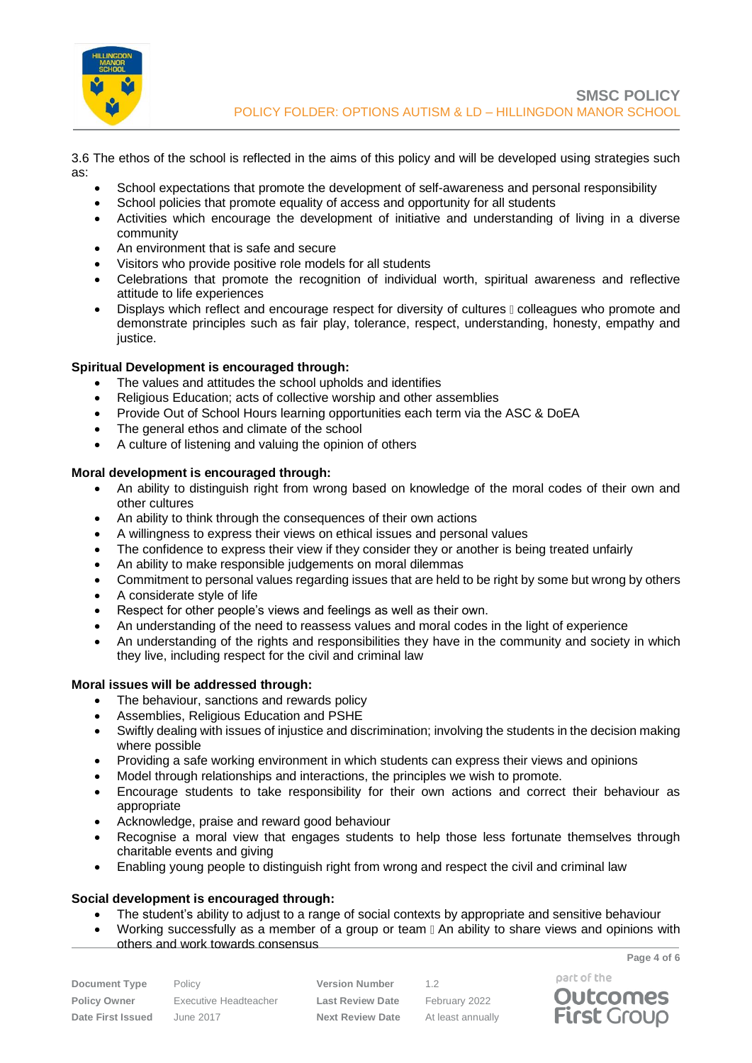

3.6 The ethos of the school is reflected in the aims of this policy and will be developed using strategies such as:

- School expectations that promote the development of self-awareness and personal responsibility
- School policies that promote equality of access and opportunity for all students
- Activities which encourage the development of initiative and understanding of living in a diverse community
- An environment that is safe and secure
- Visitors who provide positive role models for all students
- Celebrations that promote the recognition of individual worth, spiritual awareness and reflective attitude to life experiences
- Displays which reflect and encourage respect for diversity of cultures  $\mathbb I$  colleagues who promote and demonstrate principles such as fair play, tolerance, respect, understanding, honesty, empathy and justice.

## **Spiritual Development is encouraged through:**

- The values and attitudes the school upholds and identifies
- Religious Education; acts of collective worship and other assemblies
- Provide Out of School Hours learning opportunities each term via the ASC & DoEA
- The general ethos and climate of the school
- A culture of listening and valuing the opinion of others

# **Moral development is encouraged through:**

- An ability to distinguish right from wrong based on knowledge of the moral codes of their own and other cultures
- An ability to think through the consequences of their own actions
- A willingness to express their views on ethical issues and personal values
- The confidence to express their view if they consider they or another is being treated unfairly
- An ability to make responsible judgements on moral dilemmas
- Commitment to personal values regarding issues that are held to be right by some but wrong by others
- A considerate style of life
- Respect for other people's views and feelings as well as their own.
- An understanding of the need to reassess values and moral codes in the light of experience
- An understanding of the rights and responsibilities they have in the community and society in which they live, including respect for the civil and criminal law

## **Moral issues will be addressed through:**

- The behaviour, sanctions and rewards policy
- Assemblies, Religious Education and PSHE
- Swiftly dealing with issues of injustice and discrimination; involving the students in the decision making where possible
- Providing a safe working environment in which students can express their views and opinions
- Model through relationships and interactions, the principles we wish to promote.
- Encourage students to take responsibility for their own actions and correct their behaviour as appropriate
- Acknowledge, praise and reward good behaviour
- Recognise a moral view that engages students to help those less fortunate themselves through charitable events and giving
- Enabling young people to distinguish right from wrong and respect the civil and criminal law

## **Social development is encouraged through:**

- The student's ability to adjust to a range of social contexts by appropriate and sensitive behaviour
- Working successfully as a member of a group or team  $\mathbb I$  An ability to share views and opinions with others and work towards consensus

| <b>Document Type</b> | Polic |
|----------------------|-------|
| Policy Owner         | Exec  |
| Date First Issued    | June  |

**Version Number** 1.2 **Policy Owner** Executive Headteacher **Last Review Date** February 2022 **Date First Issued** June 2017 **Next Review Date** At least annually



**Page 4 of 6**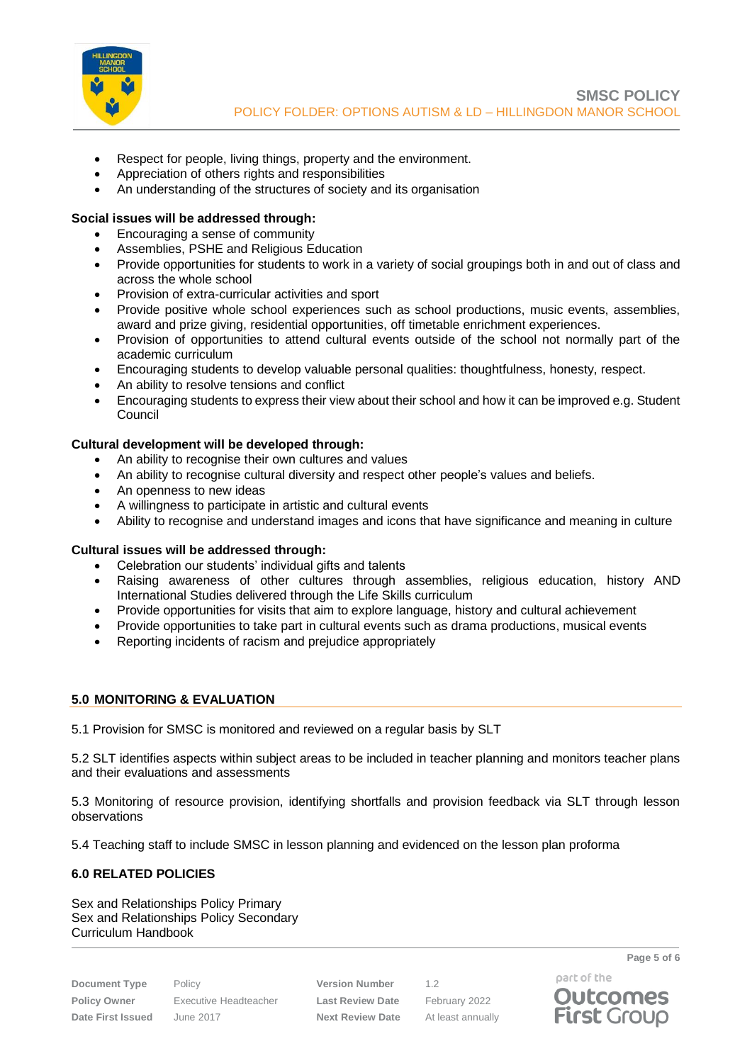

- Respect for people, living things, property and the environment.
- Appreciation of others rights and responsibilities
- An understanding of the structures of society and its organisation

## **Social issues will be addressed through:**

- Encouraging a sense of community
- Assemblies, PSHE and Religious Education
- Provide opportunities for students to work in a variety of social groupings both in and out of class and across the whole school
- Provision of extra-curricular activities and sport
- Provide positive whole school experiences such as school productions, music events, assemblies, award and prize giving, residential opportunities, off timetable enrichment experiences.
- Provision of opportunities to attend cultural events outside of the school not normally part of the academic curriculum
- Encouraging students to develop valuable personal qualities: thoughtfulness, honesty, respect.
- An ability to resolve tensions and conflict
- Encouraging students to express their view about their school and how it can be improved e.g. Student Council

# **Cultural development will be developed through:**

- An ability to recognise their own cultures and values
- An ability to recognise cultural diversity and respect other people's values and beliefs.
- An openness to new ideas
- A willingness to participate in artistic and cultural events
- Ability to recognise and understand images and icons that have significance and meaning in culture

## **Cultural issues will be addressed through:**

- Celebration our students' individual gifts and talents
- Raising awareness of other cultures through assemblies, religious education, history AND International Studies delivered through the Life Skills curriculum
- Provide opportunities for visits that aim to explore language, history and cultural achievement
- Provide opportunities to take part in cultural events such as drama productions, musical events
- Reporting incidents of racism and prejudice appropriately

## <span id="page-4-0"></span>**5.0 MONITORING & EVALUATION**

5.1 Provision for SMSC is monitored and reviewed on a regular basis by SLT

5.2 SLT identifies aspects within subject areas to be included in teacher planning and monitors teacher plans and their evaluations and assessments

5.3 Monitoring of resource provision, identifying shortfalls and provision feedback via SLT through lesson observations

5.4 Teaching staff to include SMSC in lesson planning and evidenced on the lesson plan proforma

# **6.0 RELATED POLICIES**

Sex and Relationships Policy Primary Sex and Relationships Policy Secondary Curriculum Handbook

**Document Type** Policy **Version Number** 1.2 **Policy Owner** Executive Headteacher **Last Review Date** February 2022 **Date First Issued** June 2017 **Next Review Date** At least annually

part of the **Outcomes** 

**First Group** 

**Page 5 of 6**